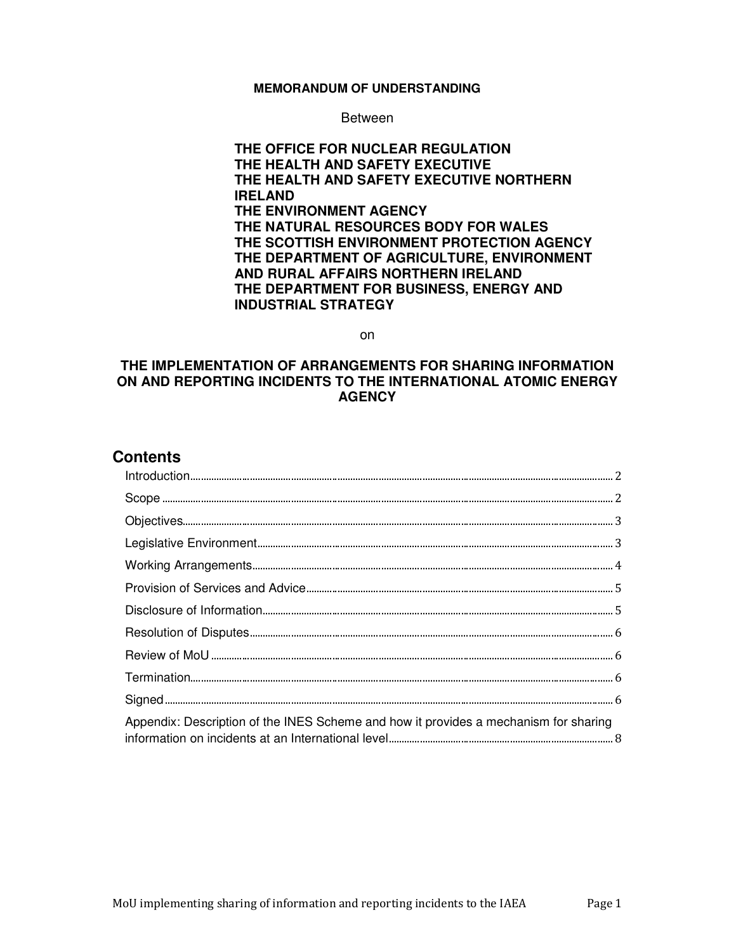#### **MEMORANDUM OF UNDERSTANDING**

Between

**THE OFFICE FOR NUCLEAR REGULATION THE HEALTH AND SAFETY EXECUTIVE THE HEALTH AND SAFETY EXECUTIVE NORTHERN IRELAND THE ENVIRONMENT AGENCY THE NATURAL RESOURCES BODY FOR WALES THE SCOTTISH ENVIRONMENT PROTECTION AGENCY THE DEPARTMENT OF AGRICULTURE, ENVIRONMENT AND RURAL AFFAIRS NORTHERN IRELAND THE DEPARTMENT FOR BUSINESS, ENERGY AND INDUSTRIAL STRATEGY** 

on

#### **THE IMPLEMENTATION OF ARRANGEMENTS FOR SHARING INFORMATION ON AND REPORTING INCIDENTS TO THE INTERNATIONAL ATOMIC ENERGY AGENCY**

# **Contents**

| Appendix: Description of the INES Scheme and how it provides a mechanism for sharing |  |
|--------------------------------------------------------------------------------------|--|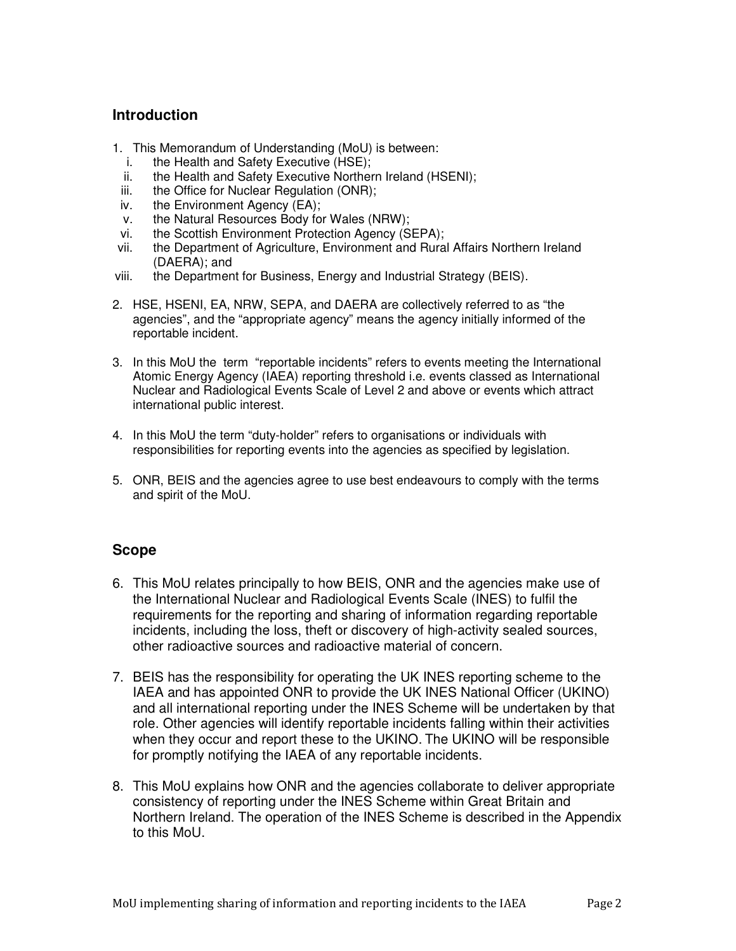## **Introduction**

- 1. This Memorandum of Understanding (MoU) is between:
	- i. the Health and Safety Executive (HSE);
	- ii. the Health and Safety Executive Northern Ireland (HSENI);
- iii. the Office for Nuclear Regulation (ONR);
- iv. the Environment Agency (EA);
- v. the Natural Resources Body for Wales (NRW);
- vi. the Scottish Environment Protection Agency (SEPA);
- vii. the Department of Agriculture, Environment and Rural Affairs Northern Ireland (DAERA); and
- viii. the Department for Business, Energy and Industrial Strategy (BEIS).
- 2. HSE, HSENI, EA, NRW, SEPA, and DAERA are collectively referred to as "the agencies", and the "appropriate agency" means the agency initially informed of the reportable incident.
- 3. In this MoU the term "reportable incidents" refers to events meeting the International Atomic Energy Agency (IAEA) reporting threshold i.e. events classed as International Nuclear and Radiological Events Scale of Level 2 and above or events which attract international public interest.
- 4. In this MoU the term "duty-holder" refers to organisations or individuals with responsibilities for reporting events into the agencies as specified by legislation.
- 5. ONR, BEIS and the agencies agree to use best endeavours to comply with the terms and spirit of the MoU.

# **Scope**

- 6. This MoU relates principally to how BEIS, ONR and the agencies make use of the International Nuclear and Radiological Events Scale (INES) to fulfil the requirements for the reporting and sharing of information regarding reportable incidents, including the loss, theft or discovery of high-activity sealed sources, other radioactive sources and radioactive material of concern.
- 7. BEIS has the responsibility for operating the UK INES reporting scheme to the IAEA and has appointed ONR to provide the UK INES National Officer (UKINO) and all international reporting under the INES Scheme will be undertaken by that role. Other agencies will identify reportable incidents falling within their activities when they occur and report these to the UKINO. The UKINO will be responsible for promptly notifying the IAEA of any reportable incidents.
- 8. This MoU explains how ONR and the agencies collaborate to deliver appropriate consistency of reporting under the INES Scheme within Great Britain and Northern Ireland. The operation of the INES Scheme is described in the Appendix to this MoU.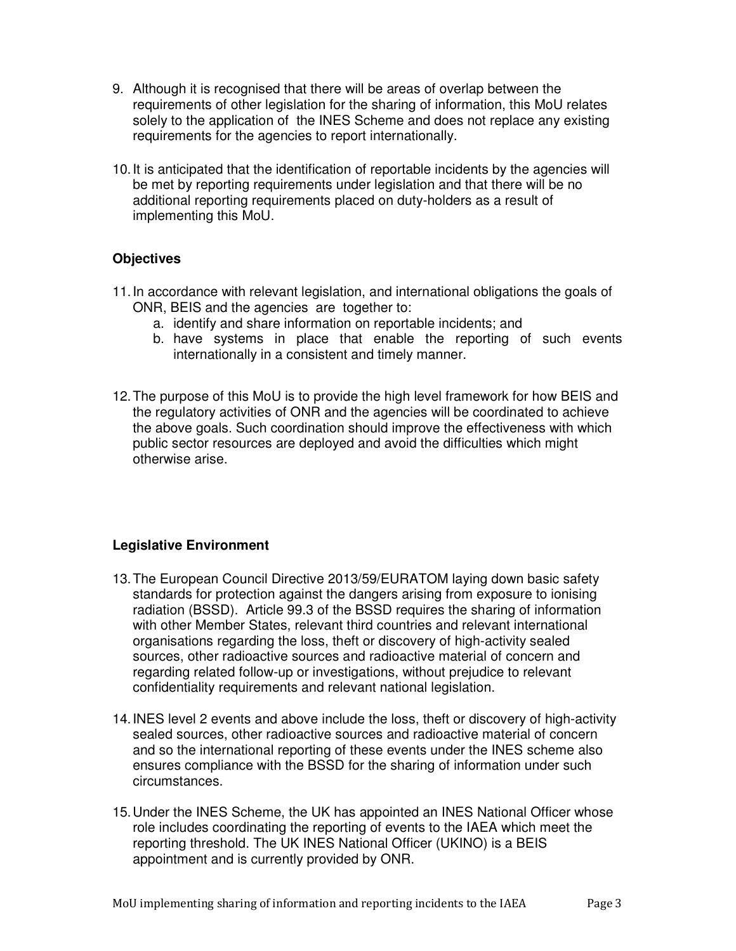- 9. Although it is recognised that there will be areas of overlap between the requirements of other legislation for the sharing of information, this MoU relates solely to the application of the INES Scheme and does not replace any existing requirements for the agencies to report internationally.
- 10. It is anticipated that the identification of reportable incidents by the agencies will be met by reporting requirements under legislation and that there will be no additional reporting requirements placed on duty-holders as a result of implementing this MoU.

# **Objectives**

- 11. In accordance with relevant legislation, and international obligations the goals of ONR, BEIS and the agencies are together to:
	- a. identify and share information on reportable incidents; and
	- b. have systems in place that enable the reporting of such events internationally in a consistent and timely manner.
- 12. The purpose of this MoU is to provide the high level framework for how BEIS and the regulatory activities of ONR and the agencies will be coordinated to achieve the above goals. Such coordination should improve the effectiveness with which public sector resources are deployed and avoid the difficulties which might otherwise arise.

#### **Legislative Environment**

- 13. The European Council Directive 2013/59/EURATOM laying down basic safety standards for protection against the dangers arising from exposure to ionising radiation (BSSD). Article 99.3 of the BSSD requires the sharing of information with other Member States, relevant third countries and relevant international organisations regarding the loss, theft or discovery of high-activity sealed sources, other radioactive sources and radioactive material of concern and regarding related follow-up or investigations, without prejudice to relevant confidentiality requirements and relevant national legislation.
- 14. INES level 2 events and above include the loss, theft or discovery of high-activity sealed sources, other radioactive sources and radioactive material of concern and so the international reporting of these events under the INES scheme also ensures compliance with the BSSD for the sharing of information under such circumstances.
- 15. Under the INES Scheme, the UK has appointed an INES National Officer whose role includes coordinating the reporting of events to the IAEA which meet the reporting threshold. The UK INES National Officer (UKINO) is a BEIS appointment and is currently provided by ONR.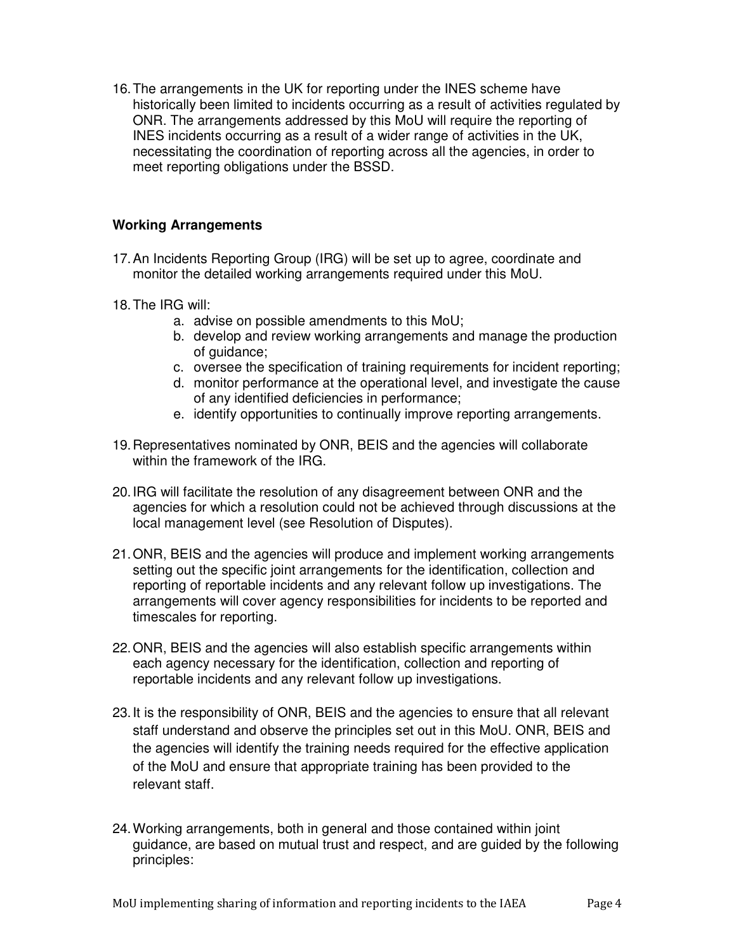16. The arrangements in the UK for reporting under the INES scheme have historically been limited to incidents occurring as a result of activities regulated by ONR. The arrangements addressed by this MoU will require the reporting of INES incidents occurring as a result of a wider range of activities in the UK, necessitating the coordination of reporting across all the agencies, in order to meet reporting obligations under the BSSD.

## **Working Arrangements**

- 17. An Incidents Reporting Group (IRG) will be set up to agree, coordinate and monitor the detailed working arrangements required under this MoU.
- 18. The IRG will:
	- a. advise on possible amendments to this MoU;
	- b. develop and review working arrangements and manage the production of guidance;
	- c. oversee the specification of training requirements for incident reporting;
	- d. monitor performance at the operational level, and investigate the cause of any identified deficiencies in performance;
	- e. identify opportunities to continually improve reporting arrangements.
- 19. Representatives nominated by ONR, BEIS and the agencies will collaborate within the framework of the IRG.
- 20. IRG will facilitate the resolution of any disagreement between ONR and the agencies for which a resolution could not be achieved through discussions at the local management level (see Resolution of Disputes).
- 21. ONR, BEIS and the agencies will produce and implement working arrangements setting out the specific joint arrangements for the identification, collection and reporting of reportable incidents and any relevant follow up investigations. The arrangements will cover agency responsibilities for incidents to be reported and timescales for reporting.
- 22. ONR, BEIS and the agencies will also establish specific arrangements within each agency necessary for the identification, collection and reporting of reportable incidents and any relevant follow up investigations.
- 23. It is the responsibility of ONR, BEIS and the agencies to ensure that all relevant staff understand and observe the principles set out in this MoU. ONR, BEIS and the agencies will identify the training needs required for the effective application of the MoU and ensure that appropriate training has been provided to the relevant staff.
- 24. Working arrangements, both in general and those contained within joint guidance, are based on mutual trust and respect, and are guided by the following principles: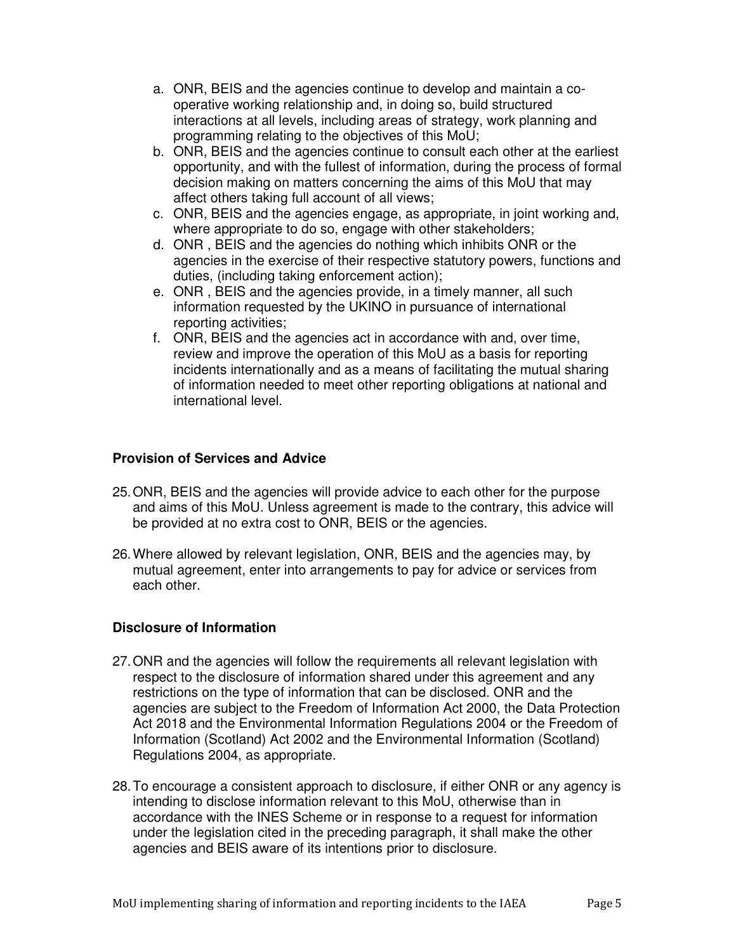- a. ONR, BEIS and the agencies continue to develop and maintain a cooperative working relationship and, in doing so, build structured interactions at all levels, including areas of strategy, work planning and programming relating to the objectives of this MoU;
- b. ONR, BEIS and the agencies continue to consult each other at the earliest opportunity, and with the fullest of information, during the process of formal decision making on matters concerning the aims of this MoU that may affect others taking full account of all views;
- c. ONR, BEIS and the agencies engage, as appropriate, in joint working and, where appropriate to do so, engage with other stakeholders;
- d. ONR , BEIS and the agencies do nothing which inhibits ONR or the agencies in the exercise of their respective statutory powers, functions and duties, (including taking enforcement action);
- e. ONR , BEIS and the agencies provide, in a timely manner, all such information requested by the UKINO in pursuance of international reporting activities;
- f. ONR, BEIS and the agencies act in accordance with and, over time, review and improve the operation of this MoU as a basis for reporting incidents internationally and as a means of facilitating the mutual sharing of information needed to meet other reporting obligations at national and international level.

# **Provision of Services and Advice**

- 25. ONR, BEIS and the agencies will provide advice to each other for the purpose and aims of this MoU. Unless agreement is made to the contrary, this advice will be provided at no extra cost to ONR, BEIS or the agencies.
- 26. Where allowed by relevant legislation, ONR, BEIS and the agencies may, by mutual agreement, enter into arrangements to pay for advice or services from each other.

# **Disclosure of Information**

- 27. ONR and the agencies will follow the requirements all relevant legislation with respect to the disclosure of information shared under this agreement and any restrictions on the type of information that can be disclosed. ONR and the agencies are subject to the Freedom of Information Act 2000, the Data Protection Act 2018 and the Environmental Information Regulations 2004 or the Freedom of Information (Scotland) Act 2002 and the Environmental Information (Scotland) Regulations 2004, as appropriate.
- 28. To encourage a consistent approach to disclosure, if either ONR or any agency is intending to disclose information relevant to this MoU, otherwise than in accordance with the INES Scheme or in response to a request for information under the legislation cited in the preceding paragraph, it shall make the other agencies and BEIS aware of its intentions prior to disclosure.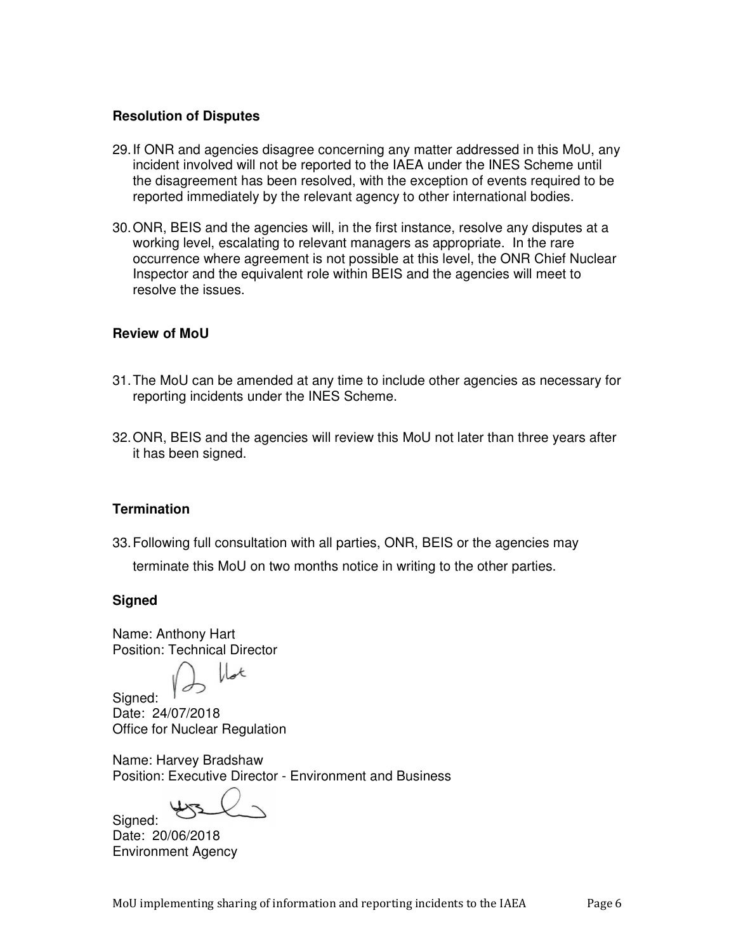#### **Resolution of Disputes**

- 29. If ONR and agencies disagree concerning any matter addressed in this MoU, any incident involved will not be reported to the IAEA under the INES Scheme until the disagreement has been resolved, with the exception of events required to be reported immediately by the relevant agency to other international bodies.
- 30. ONR, BEIS and the agencies will, in the first instance, resolve any disputes at a working level, escalating to relevant managers as appropriate. In the rare occurrence where agreement is not possible at this level, the ONR Chief Nuclear Inspector and the equivalent role within BEIS and the agencies will meet to resolve the issues.

#### **Review of MoU**

- 31. The MoU can be amended at any time to include other agencies as necessary for reporting incidents under the INES Scheme.
- 32. ONR, BEIS and the agencies will review this MoU not later than three years after it has been signed.

#### **Termination**

33. Following full consultation with all parties, ONR, BEIS or the agencies may

terminate this MoU on two months notice in writing to the other parties.

#### **Signed**

Name: Anthony Hart Position: Technical Director

 $\mathcal{A}$ 

Signed: Date: 24/07/2018 Office for Nuclear Regulation

Name: Harvey Bradshaw Position: Executive Director - Environment and Business

Signed: Date: 20/06/2018 Environment Agency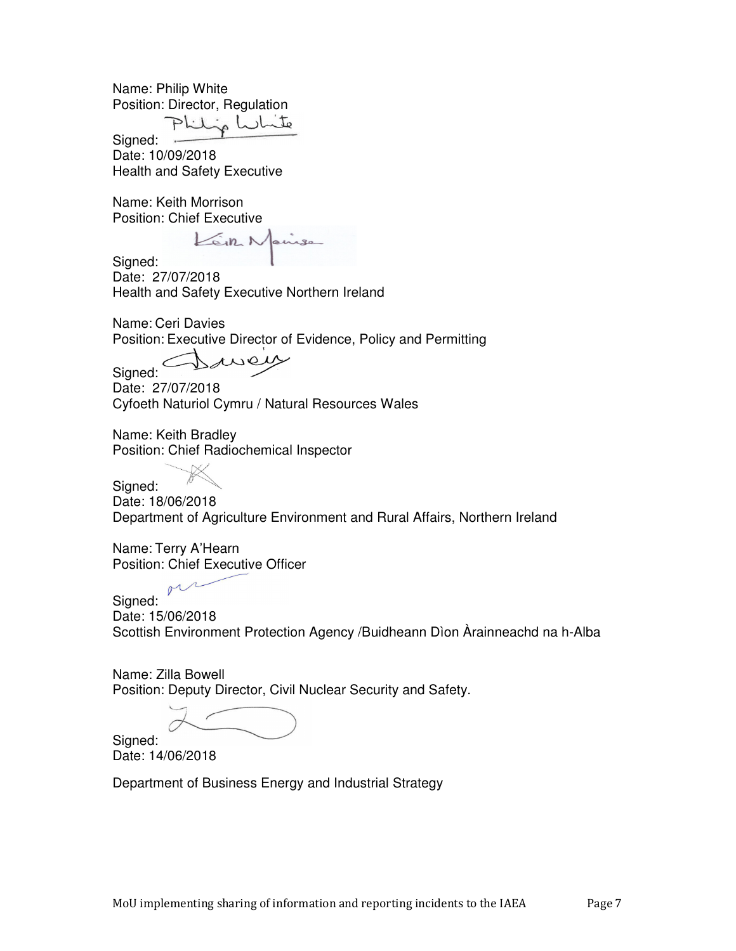Name: Philip White Position: Director, Regulation

Philip W

Signed: Date: 10/09/2018 Health and Safety Executive

Name: Keith Morrison Position: Chief Executive

air 1

Signed: Date: 27/07/2018 Health and Safety Executive Northern Ireland

Name: Ceri Davies Position: Executive Director of Evidence, Policy and Permitting

Signed:

Date: 27/07/2018 Cyfoeth Naturiol Cymru / Natural Resources Wales

Name: Keith Bradley Position: Chief Radiochemical Inspector

Signed: Date: 18/06/2018 Department of Agriculture Environment and Rural Affairs, Northern Ireland

Name: Terry A'Hearn Position: Chief Executive Officer

Signed: Date: 15/06/2018 Scottish Environment Protection Agency /Buidheann Dìon Àrainneachd na h-Alba

Name: Zilla Bowell Position: Deputy Director, Civil Nuclear Security and Safety.

Signed: Date: 14/06/2018

Department of Business Energy and Industrial Strategy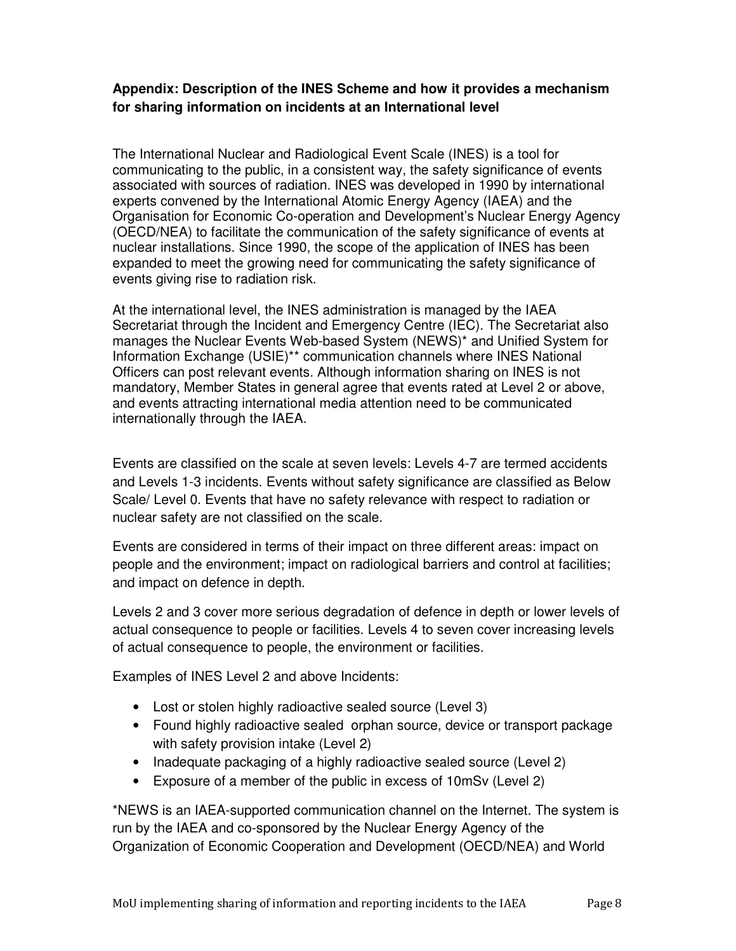# **Appendix: Description of the INES Scheme and how it provides a mechanism for sharing information on incidents at an International level**

The International Nuclear and Radiological Event Scale (INES) is a tool for communicating to the public, in a consistent way, the safety significance of events associated with sources of radiation. INES was developed in 1990 by international experts convened by the International Atomic Energy Agency (IAEA) and the Organisation for Economic Co-operation and Development's Nuclear Energy Agency (OECD/NEA) to facilitate the communication of the safety significance of events at nuclear installations. Since 1990, the scope of the application of INES has been expanded to meet the growing need for communicating the safety significance of events giving rise to radiation risk.

At the international level, the INES administration is managed by the IAEA Secretariat through the Incident and Emergency Centre (IEC). The Secretariat also manages the Nuclear Events Web-based System (NEWS)\* and Unified System for Information Exchange (USIE)\*\* communication channels where INES National Officers can post relevant events. Although information sharing on INES is not mandatory, Member States in general agree that events rated at Level 2 or above, and events attracting international media attention need to be communicated internationally through the IAEA.

Events are classified on the scale at seven levels: Levels 4-7 are termed accidents and Levels 1-3 incidents. Events without safety significance are classified as Below Scale/ Level 0. Events that have no safety relevance with respect to radiation or nuclear safety are not classified on the scale.

Events are considered in terms of their impact on three different areas: impact on people and the environment; impact on radiological barriers and control at facilities; and impact on defence in depth.

Levels 2 and 3 cover more serious degradation of defence in depth or lower levels of actual consequence to people or facilities. Levels 4 to seven cover increasing levels of actual consequence to people, the environment or facilities.

Examples of INES Level 2 and above Incidents:

- Lost or stolen highly radioactive sealed source (Level 3)
- Found highly radioactive sealed orphan source, device or transport package with safety provision intake (Level 2)
- Inadequate packaging of a highly radioactive sealed source (Level 2)
- Exposure of a member of the public in excess of 10mSv (Level 2)

\*NEWS is an IAEA-supported communication channel on the Internet. The system is run by the IAEA and co-sponsored by the Nuclear Energy Agency of the Organization of Economic Cooperation and Development (OECD/NEA) and World